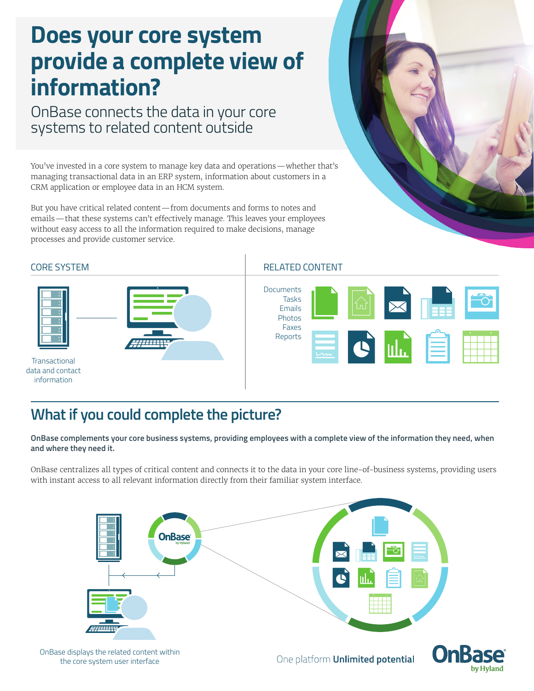## **Does your core system provide a complete view of information?**

OnBase connects the data in your core systems to related content outside

You've invested in a core system to manage key data and operations—whether that's managing transactional data in an ERP system, information about customers in a CRM application or employee data in an HCM system.

But you have critical related content—from documents and forms to notes and emails—that these systems can't effectively manage. This leaves your employees without easy access to all the information required to make decisions, manage processes and provide customer service.





## CORE SYSTEM RELATED CONTENT



## **What if you could complete the picture?**

**OnBase complements your core business systems, providing employees with a complete view of the information they need, when and where they need it.**

OnBase centralizes all types of critical content and connects it to the data in your core line-of-business systems, providing users with instant access to all relevant information directly from their familiar system interface.